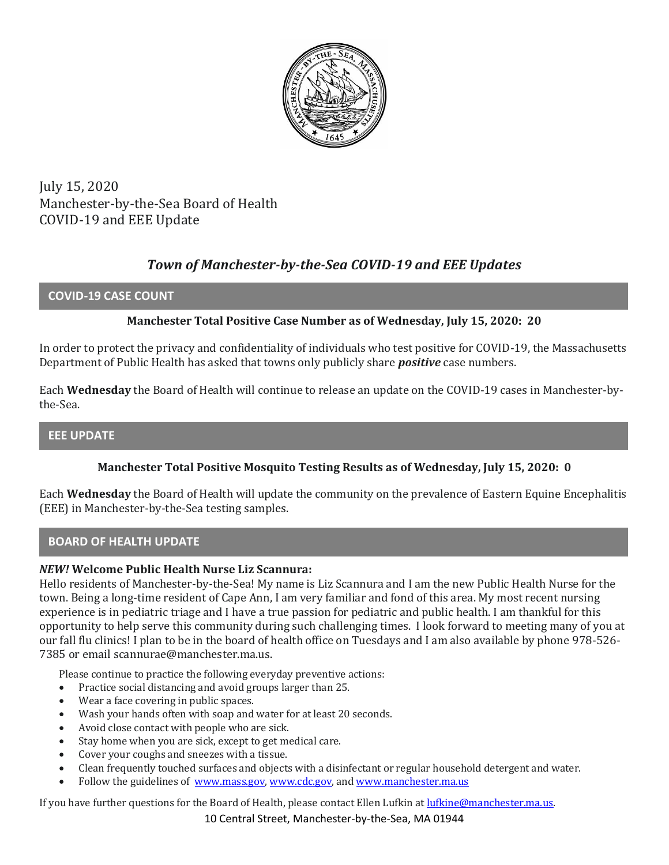

July 15, 2020 Manchester-by-the-Sea Board of Health COVID-19 and EEE Update

# *Town of Manchester-by-the-Sea COVID-19 and EEE Updates*

### **COVID-19 CASE COUNT**

### **Manchester Total Positive Case Number as of Wednesday, July 15, 2020: 20**

In order to protect the privacy and confidentiality of individuals who test positive for COVID-19, the Massachusetts Department of Public Health has asked that towns only publicly share *positive* case numbers.

Each **Wednesday** the Board of Health will continue to release an update on the COVID-19 cases in Manchester-bythe-Sea.

### **EEE UPDATE**

### **Manchester Total Positive Mosquito Testing Results as of Wednesday, July 15, 2020: 0**

Each **Wednesday** the Board of Health will update the community on the prevalence of Eastern Equine Encephalitis (EEE) in Manchester-by-the-Sea testing samples.

### **BOARD OF HEALTH UPDATE**

#### *NEW!* **Welcome Public Health Nurse Liz Scannura:**

Hello residents of Manchester-by-the-Sea! My name is Liz Scannura and I am the new Public Health Nurse for the town. Being a long-time resident of Cape Ann, I am very familiar and fond of this area. My most recent nursing experience is in pediatric triage and I have a true passion for pediatric and public health. I am thankful for this opportunity to help serve this community during such challenging times. I look forward to meeting many of you at our fall flu clinics! I plan to be in the board of health office on Tuesdays and I am also available by phone 978-526- 7385 or email scannurae@manchester.ma.us.

Please continue to practice the following everyday preventive actions:

- Practice social distancing and avoid groups larger than 25.
- Wear a face covering in public spaces.
- Wash your hands often with soap and water for at least 20 seconds.
- Avoid close contact with people who are sick.
- Stay home when you are sick, except to get medical care.
- Cover your coughs and sneezes with a tissue.
- Clean frequently touched surfaces and objects with a disinfectant or regular household detergent and water.
- Follow the guidelines of [www.mass.gov,](https://www.mass.gov/) [www.cdc.gov,](https://www.cdc.gov/) an[d www.manchester.ma.us](http://www.manchester.ma.us/)

If you have further questions for the Board of Health, please contact Ellen Lufkin a[t lufkine@manchester.ma.us.](mailto:lufkine@manchester.ma.us)

10 Central Street, Manchester-by-the-Sea, MA 01944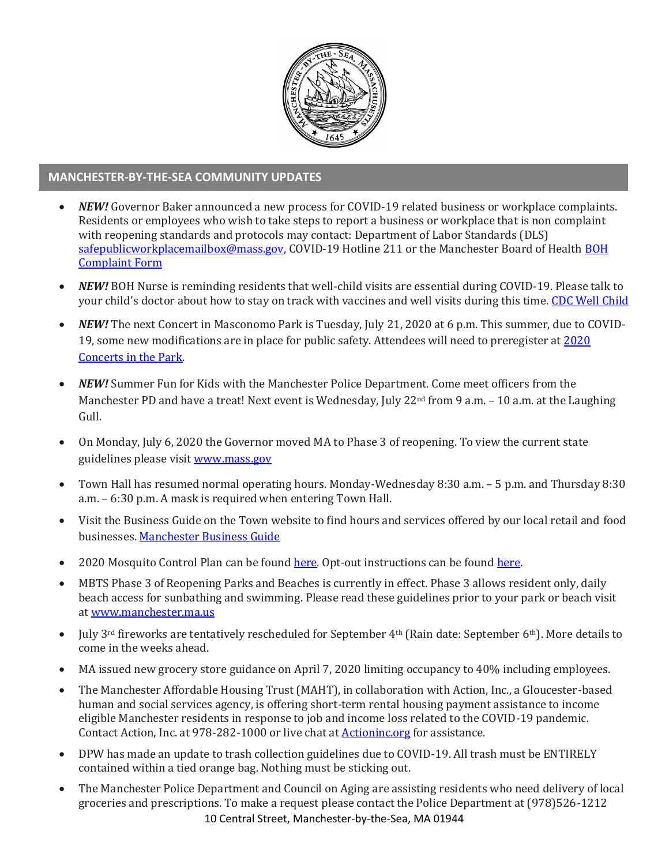

## **MANCHESTER-BY-THE-SEA COMMUNITY UPDATES**

- *NEW!* Governor Baker announced a new process for COVID-19 related business or workplace complaints. Residents or employees who wish to take steps to report a business or workplace that is non complaint with reopening standards and protocols may contact: Department of Labor Standards (DLS) [safepublicworkplacemailbox@mass.gov,](mailto:safepublicworkplacemailbox@mass.gov) COVID-19 Hotline 211 or the Manchester Board of Health BOH [Complaint Form](http://manchester.ma.us/DocumentCenter/View/3278/Complaint-Form-2019-1)
- *NEW!* BOH Nurse is reminding residents that well-child visits are essential during COVID-19. Please talk to your child's doctor about how to stay on track with vaccines and well visits during this time. [CDC Well Child](https://www.cdc.gov/vaccines/parents/why-vaccinate/well-child-visits.html)
- *NEW!* The next Concert in Masconomo Park is Tuesday, July 21, 2020 at 6 p.m. This summer, due to COVID-19, some new modifications are in place for public safety. Attendees will need to preregister at [2020](https://manchesterma.myrec.com/info/activities/program_details.aspx?ProgramID=29989)  [Concerts in the Park.](https://manchesterma.myrec.com/info/activities/program_details.aspx?ProgramID=29989)
- *NEW!* Summer Fun for Kids with the Manchester Police Department. Come meet officers from the Manchester PD and have a treat! Next event is Wednesday, July 22<sup>nd</sup> from 9 a.m. – 10 a.m. at the Laughing Gull.
- On Monday, July 6, 2020 the Governor moved MA to Phase 3 of reopening. To view the current state guidelines please visi[t www.mass.gov](http://www.mass.gov/)
- Town Hall has resumed normal operating hours. Monday-Wednesday 8:30 a.m. 5 p.m. and Thursday 8:30 a.m. – 6:30 p.m. A mask is required when entering Town Hall.
- Visit the Business Guide on the Town website to find hours and services offered by our local retail and food businesses[. Manchester Business Guide](http://manchester.ma.us/728/Business)
- 2020 Mosquito Control Plan can be found [here.](https://www.nemassmosquito.org/home/pages/manchester-sea) Opt-out instructions can be found [here.](http://manchester.ma.us/DocumentCenter/View/3214/2020-Process-To-Exclude-Property-From-Mosquito-Spraying)
- MBTS Phase 3 of Reopening Parks and Beaches is currently in effect. Phase 3 allows resident only, daily beach access for sunbathing and swimming. Please read these guidelines prior to your park or beach visit a[t www.manchester.ma.us](http://manchester.ma.us/)
- July 3<sup>rd</sup> fireworks are tentatively rescheduled for September 4<sup>th</sup> (Rain date: September 6<sup>th</sup>). More details to come in the weeks ahead.
- MA issued new grocery store guidance on April 7, 2020 limiting occupancy to 40% including employees.
- The Manchester Affordable Housing Trust (MAHT), in collaboration with Action, Inc., a Gloucester-based human and social services agency, is offering short-term rental housing payment assistance to income eligible Manchester residents in response to job and income loss related to the COVID-19 pandemic. Contact Action, Inc. at 978-282-1000 or live chat at [Actioninc.org](https://actioninc.org/) for assistance.
- DPW has made an update to trash collection guidelines due to COVID-19. All trash must be ENTIRELY contained within a tied orange bag. Nothing must be sticking out.
- 10 Central Street, Manchester-by-the-Sea, MA 01944 • The Manchester Police Department and Council on Aging are assisting residents who need delivery of local groceries and prescriptions. To make a request please contact the Police Department at (978)526-1212